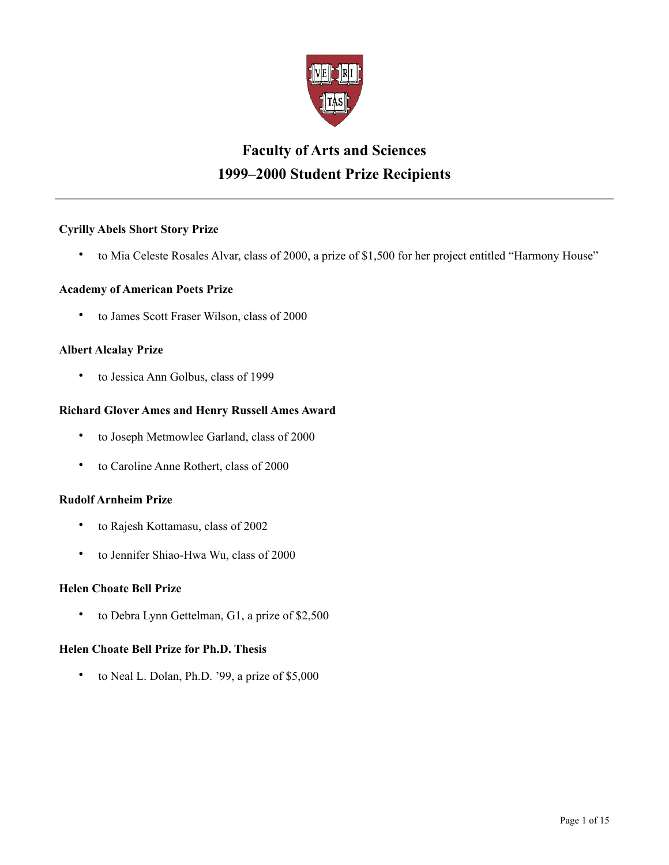

# **Faculty of Arts and Sciences 1999–2000 Student Prize Recipients**

# **Cyrilly Abels Short Story Prize**

• to Mia Celeste Rosales Alvar, class of 2000, a prize of \$1,500 for her project entitled "Harmony House"

# **Academy of American Poets Prize**

• to James Scott Fraser Wilson, class of 2000

## **Albert Alcalay Prize**

• to Jessica Ann Golbus, class of 1999

# **Richard Glover Ames and Henry Russell Ames Award**

- to Joseph Metmowlee Garland, class of 2000
- to Caroline Anne Rothert, class of 2000

# **Rudolf Arnheim Prize**

- to Rajesh Kottamasu, class of 2002
- to Jennifer Shiao-Hwa Wu, class of 2000

# **Helen Choate Bell Prize**

• to Debra Lynn Gettelman, G1, a prize of \$2,500

# **Helen Choate Bell Prize for Ph.D. Thesis**

• to Neal L. Dolan, Ph.D. '99, a prize of \$5,000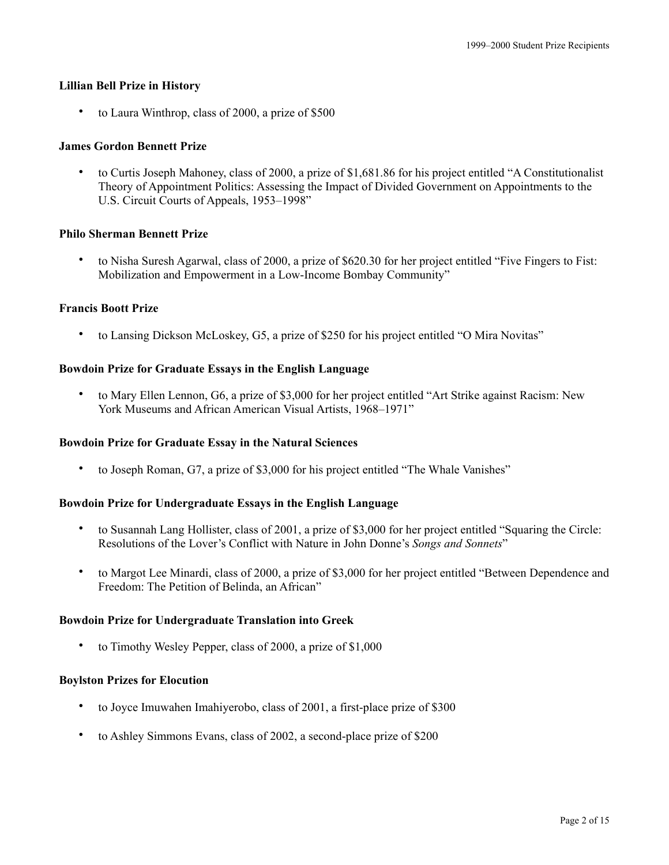## **Lillian Bell Prize in History**

• to Laura Winthrop, class of 2000, a prize of \$500

## **James Gordon Bennett Prize**

• to Curtis Joseph Mahoney, class of 2000, a prize of \$1,681.86 for his project entitled "A Constitutionalist Theory of Appointment Politics: Assessing the Impact of Divided Government on Appointments to the U.S. Circuit Courts of Appeals, 1953–1998"

## **Philo Sherman Bennett Prize**

• to Nisha Suresh Agarwal, class of 2000, a prize of \$620.30 for her project entitled "Five Fingers to Fist: Mobilization and Empowerment in a Low-Income Bombay Community"

## **Francis Boott Prize**

• to Lansing Dickson McLoskey, G5, a prize of \$250 for his project entitled "O Mira Novitas"

## **Bowdoin Prize for Graduate Essays in the English Language**

• to Mary Ellen Lennon, G6, a prize of \$3,000 for her project entitled "Art Strike against Racism: New York Museums and African American Visual Artists, 1968–1971"

#### **Bowdoin Prize for Graduate Essay in the Natural Sciences**

• to Joseph Roman, G7, a prize of \$3,000 for his project entitled "The Whale Vanishes"

#### **Bowdoin Prize for Undergraduate Essays in the English Language**

- to Susannah Lang Hollister, class of 2001, a prize of \$3,000 for her project entitled "Squaring the Circle: Resolutions of the Lover's Conflict with Nature in John Donne's *Songs and Sonnets*"
- to Margot Lee Minardi, class of 2000, a prize of \$3,000 for her project entitled "Between Dependence and Freedom: The Petition of Belinda, an African"

#### **Bowdoin Prize for Undergraduate Translation into Greek**

• to Timothy Wesley Pepper, class of 2000, a prize of \$1,000

#### **Boylston Prizes for Elocution**

- to Joyce Imuwahen Imahiyerobo, class of 2001, a first-place prize of \$300
- to Ashley Simmons Evans, class of 2002, a second-place prize of \$200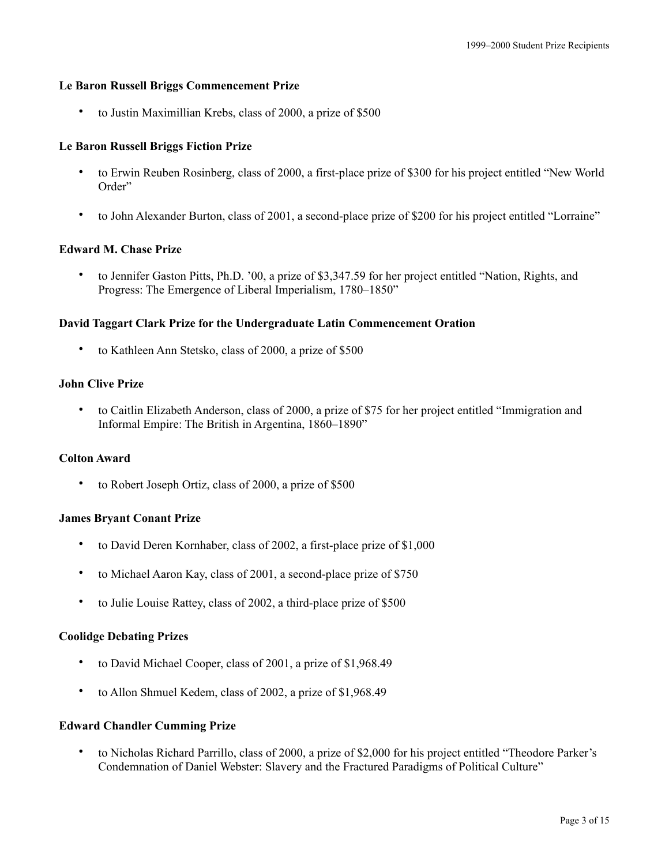#### **Le Baron Russell Briggs Commencement Prize**

• to Justin Maximillian Krebs, class of 2000, a prize of \$500

## **Le Baron Russell Briggs Fiction Prize**

- to Erwin Reuben Rosinberg, class of 2000, a first-place prize of \$300 for his project entitled "New World Order"
- to John Alexander Burton, class of 2001, a second-place prize of \$200 for his project entitled "Lorraine"

## **Edward M. Chase Prize**

• to Jennifer Gaston Pitts, Ph.D. '00, a prize of \$3,347.59 for her project entitled "Nation, Rights, and Progress: The Emergence of Liberal Imperialism, 1780–1850"

## **David Taggart Clark Prize for the Undergraduate Latin Commencement Oration**

• to Kathleen Ann Stetsko, class of 2000, a prize of \$500

#### **John Clive Prize**

• to Caitlin Elizabeth Anderson, class of 2000, a prize of \$75 for her project entitled "Immigration and Informal Empire: The British in Argentina, 1860–1890"

## **Colton Award**

• to Robert Joseph Ortiz, class of 2000, a prize of \$500

## **James Bryant Conant Prize**

- to David Deren Kornhaber, class of 2002, a first-place prize of \$1,000
- to Michael Aaron Kay, class of 2001, a second-place prize of \$750
- to Julie Louise Rattey, class of 2002, a third-place prize of \$500

## **Coolidge Debating Prizes**

- to David Michael Cooper, class of 2001, a prize of \$1,968.49
- to Allon Shmuel Kedem, class of 2002, a prize of \$1,968.49

#### **Edward Chandler Cumming Prize**

• to Nicholas Richard Parrillo, class of 2000, a prize of \$2,000 for his project entitled "Theodore Parker's Condemnation of Daniel Webster: Slavery and the Fractured Paradigms of Political Culture"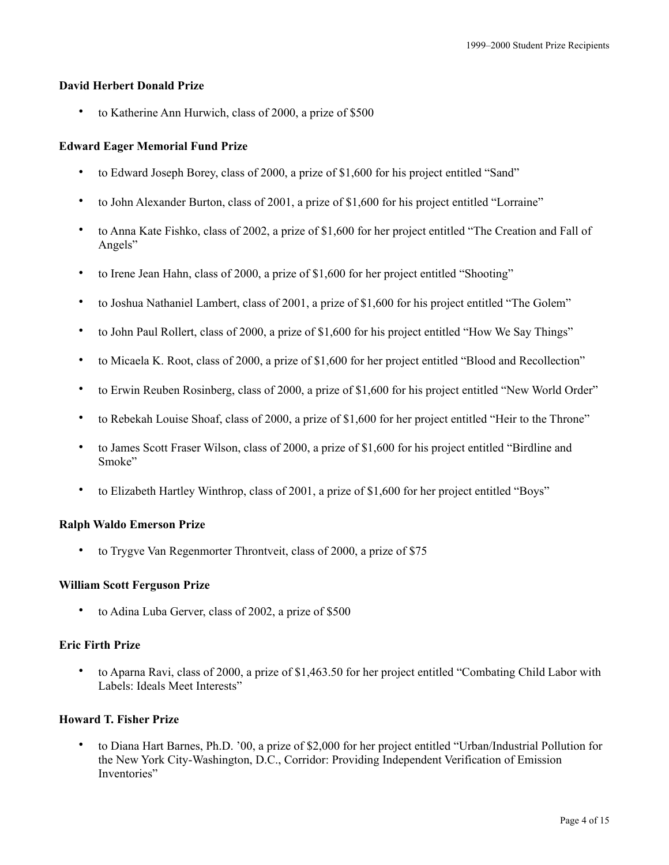## **David Herbert Donald Prize**

• to Katherine Ann Hurwich, class of 2000, a prize of \$500

## **Edward Eager Memorial Fund Prize**

- to Edward Joseph Borey, class of 2000, a prize of \$1,600 for his project entitled "Sand"
- to John Alexander Burton, class of 2001, a prize of \$1,600 for his project entitled "Lorraine"
- to Anna Kate Fishko, class of 2002, a prize of \$1,600 for her project entitled "The Creation and Fall of Angels"
- to Irene Jean Hahn, class of 2000, a prize of \$1,600 for her project entitled "Shooting"
- to Joshua Nathaniel Lambert, class of 2001, a prize of \$1,600 for his project entitled "The Golem"
- to John Paul Rollert, class of 2000, a prize of \$1,600 for his project entitled "How We Say Things"
- to Micaela K. Root, class of 2000, a prize of \$1,600 for her project entitled "Blood and Recollection"
- to Erwin Reuben Rosinberg, class of 2000, a prize of \$1,600 for his project entitled "New World Order"
- to Rebekah Louise Shoaf, class of 2000, a prize of \$1,600 for her project entitled "Heir to the Throne"
- to James Scott Fraser Wilson, class of 2000, a prize of \$1,600 for his project entitled "Birdline and Smoke"
- to Elizabeth Hartley Winthrop, class of 2001, a prize of \$1,600 for her project entitled "Boys"

### **Ralph Waldo Emerson Prize**

• to Trygve Van Regenmorter Throntveit, class of 2000, a prize of \$75

## **William Scott Ferguson Prize**

to Adina Luba Gerver, class of 2002, a prize of \$500

## **Eric Firth Prize**

• to Aparna Ravi, class of 2000, a prize of \$1,463.50 for her project entitled "Combating Child Labor with Labels: Ideals Meet Interests"

# **Howard T. Fisher Prize**

• to Diana Hart Barnes, Ph.D. '00, a prize of \$2,000 for her project entitled "Urban/Industrial Pollution for the New York City-Washington, D.C., Corridor: Providing Independent Verification of Emission Inventories"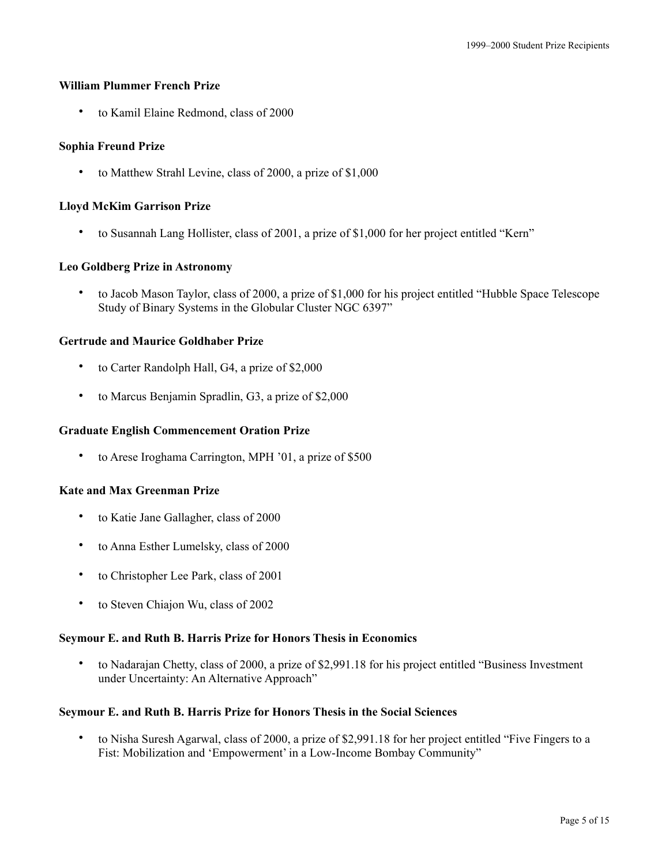## **William Plummer French Prize**

• to Kamil Elaine Redmond, class of 2000

## **Sophia Freund Prize**

• to Matthew Strahl Levine, class of 2000, a prize of \$1,000

## **Lloyd McKim Garrison Prize**

• to Susannah Lang Hollister, class of 2001, a prize of \$1,000 for her project entitled "Kern"

## **Leo Goldberg Prize in Astronomy**

• to Jacob Mason Taylor, class of 2000, a prize of \$1,000 for his project entitled "Hubble Space Telescope Study of Binary Systems in the Globular Cluster NGC 6397"

## **Gertrude and Maurice Goldhaber Prize**

- to Carter Randolph Hall, G4, a prize of \$2,000
- to Marcus Benjamin Spradlin, G3, a prize of \$2,000

## **Graduate English Commencement Oration Prize**

• to Arese Iroghama Carrington, MPH '01, a prize of \$500

#### **Kate and Max Greenman Prize**

- to Katie Jane Gallagher, class of 2000
- to Anna Esther Lumelsky, class of 2000
- to Christopher Lee Park, class of 2001
- to Steven Chiajon Wu, class of 2002

#### **Seymour E. and Ruth B. Harris Prize for Honors Thesis in Economics**

• to Nadarajan Chetty, class of 2000, a prize of \$2,991.18 for his project entitled "Business Investment under Uncertainty: An Alternative Approach"

#### **Seymour E. and Ruth B. Harris Prize for Honors Thesis in the Social Sciences**

• to Nisha Suresh Agarwal, class of 2000, a prize of \$2,991.18 for her project entitled "Five Fingers to a Fist: Mobilization and 'Empowerment' in a Low-Income Bombay Community"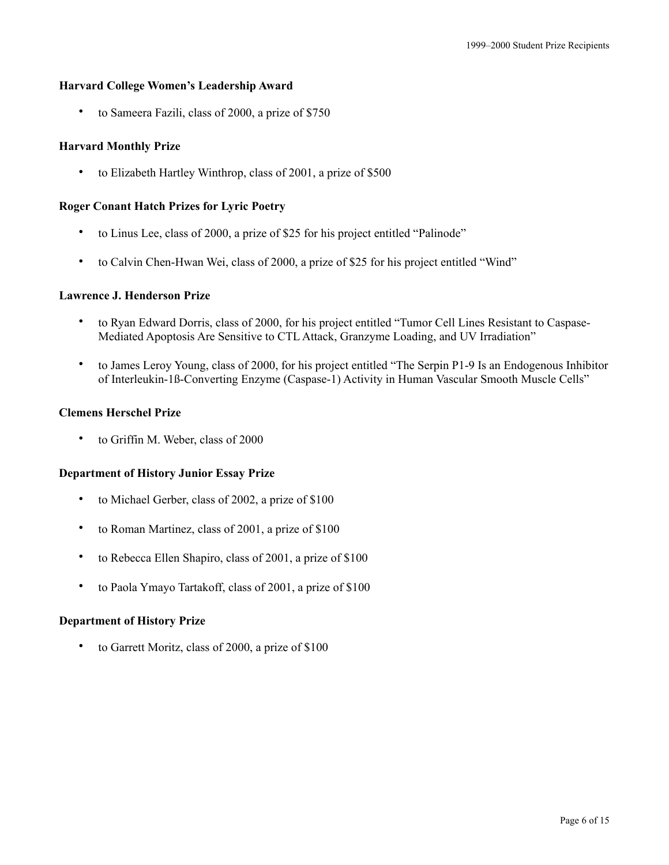## **Harvard College Women's Leadership Award**

• to Sameera Fazili, class of 2000, a prize of \$750

## **Harvard Monthly Prize**

• to Elizabeth Hartley Winthrop, class of 2001, a prize of \$500

## **Roger Conant Hatch Prizes for Lyric Poetry**

- to Linus Lee, class of 2000, a prize of \$25 for his project entitled "Palinode"
- to Calvin Chen-Hwan Wei, class of 2000, a prize of \$25 for his project entitled "Wind"

## **Lawrence J. Henderson Prize**

- to Ryan Edward Dorris, class of 2000, for his project entitled "Tumor Cell Lines Resistant to Caspase-Mediated Apoptosis Are Sensitive to CTL Attack, Granzyme Loading, and UV Irradiation"
- to James Leroy Young, class of 2000, for his project entitled "The Serpin P1-9 Is an Endogenous Inhibitor of Interleukin-1ß-Converting Enzyme (Caspase-1) Activity in Human Vascular Smooth Muscle Cells"

## **Clemens Herschel Prize**

to Griffin M. Weber, class of 2000

#### **Department of History Junior Essay Prize**

- to Michael Gerber, class of 2002, a prize of \$100
- to Roman Martinez, class of 2001, a prize of \$100
- to Rebecca Ellen Shapiro, class of 2001, a prize of \$100
- to Paola Ymayo Tartakoff, class of 2001, a prize of \$100

#### **Department of History Prize**

to Garrett Moritz, class of 2000, a prize of \$100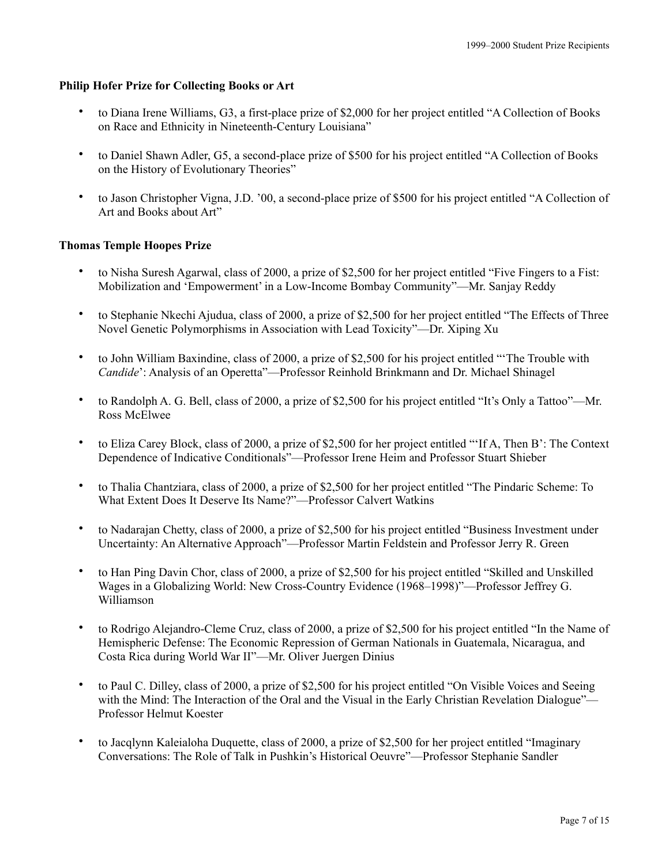# **Philip Hofer Prize for Collecting Books or Art**

- to Diana Irene Williams, G3, a first-place prize of \$2,000 for her project entitled "A Collection of Books on Race and Ethnicity in Nineteenth-Century Louisiana"
- to Daniel Shawn Adler, G5, a second-place prize of \$500 for his project entitled "A Collection of Books on the History of Evolutionary Theories"
- to Jason Christopher Vigna, J.D. '00, a second-place prize of \$500 for his project entitled "A Collection of Art and Books about Art"

# **Thomas Temple Hoopes Prize**

- to Nisha Suresh Agarwal, class of 2000, a prize of \$2,500 for her project entitled "Five Fingers to a Fist: Mobilization and 'Empowerment' in a Low-Income Bombay Community"—Mr. Sanjay Reddy
- to Stephanie Nkechi Ajudua, class of 2000, a prize of \$2,500 for her project entitled "The Effects of Three Novel Genetic Polymorphisms in Association with Lead Toxicity"—Dr. Xiping Xu
- to John William Baxindine, class of 2000, a prize of \$2,500 for his project entitled "'The Trouble with *Candide*': Analysis of an Operetta"—Professor Reinhold Brinkmann and Dr. Michael Shinagel
- to Randolph A. G. Bell, class of 2000, a prize of \$2,500 for his project entitled "It's Only a Tattoo"—Mr. Ross McElwee
- to Eliza Carey Block, class of 2000, a prize of \$2,500 for her project entitled "'If A, Then B': The Context Dependence of Indicative Conditionals"—Professor Irene Heim and Professor Stuart Shieber
- to Thalia Chantziara, class of 2000, a prize of \$2,500 for her project entitled "The Pindaric Scheme: To What Extent Does It Deserve Its Name?"—Professor Calvert Watkins
- to Nadarajan Chetty, class of 2000, a prize of \$2,500 for his project entitled "Business Investment under Uncertainty: An Alternative Approach"—Professor Martin Feldstein and Professor Jerry R. Green
- to Han Ping Davin Chor, class of 2000, a prize of \$2,500 for his project entitled "Skilled and Unskilled Wages in a Globalizing World: New Cross-Country Evidence (1968–1998)"—Professor Jeffrey G. Williamson
- to Rodrigo Alejandro-Cleme Cruz, class of 2000, a prize of \$2,500 for his project entitled "In the Name of Hemispheric Defense: The Economic Repression of German Nationals in Guatemala, Nicaragua, and Costa Rica during World War II"—Mr. Oliver Juergen Dinius
- to Paul C. Dilley, class of 2000, a prize of \$2,500 for his project entitled "On Visible Voices and Seeing with the Mind: The Interaction of the Oral and the Visual in the Early Christian Revelation Dialogue"— Professor Helmut Koester
- to Jacqlynn Kaleialoha Duquette, class of 2000, a prize of \$2,500 for her project entitled "Imaginary Conversations: The Role of Talk in Pushkin's Historical Oeuvre"—Professor Stephanie Sandler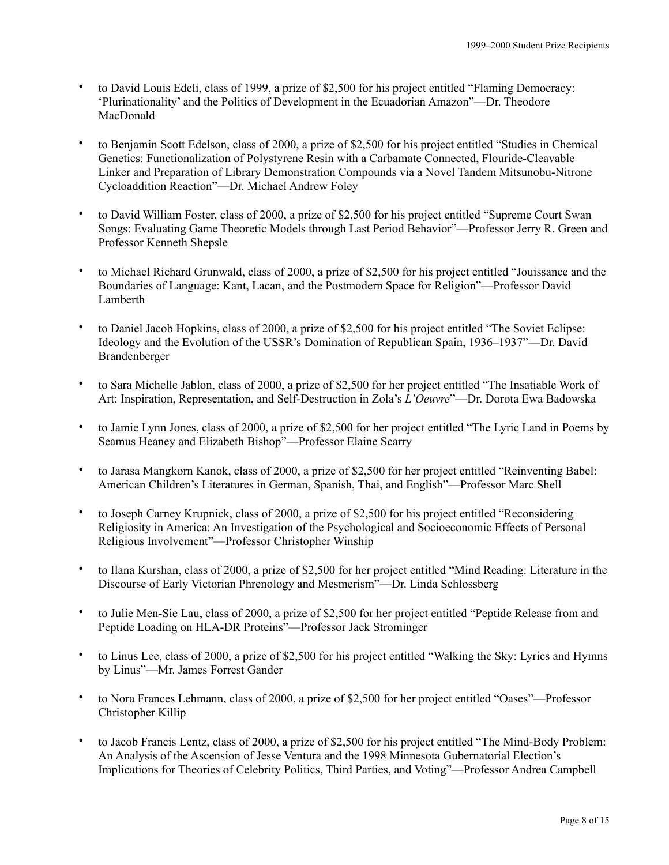- to David Louis Edeli, class of 1999, a prize of \$2,500 for his project entitled "Flaming Democracy: 'Plurinationality' and the Politics of Development in the Ecuadorian Amazon"—Dr. Theodore MacDonald
- to Benjamin Scott Edelson, class of 2000, a prize of \$2,500 for his project entitled "Studies in Chemical Genetics: Functionalization of Polystyrene Resin with a Carbamate Connected, Flouride-Cleavable Linker and Preparation of Library Demonstration Compounds via a Novel Tandem Mitsunobu-Nitrone Cycloaddition Reaction"—Dr. Michael Andrew Foley
- to David William Foster, class of 2000, a prize of \$2,500 for his project entitled "Supreme Court Swan Songs: Evaluating Game Theoretic Models through Last Period Behavior"—Professor Jerry R. Green and Professor Kenneth Shepsle
- to Michael Richard Grunwald, class of 2000, a prize of \$2,500 for his project entitled "Jouissance and the Boundaries of Language: Kant, Lacan, and the Postmodern Space for Religion"—Professor David Lamberth
- to Daniel Jacob Hopkins, class of 2000, a prize of \$2,500 for his project entitled "The Soviet Eclipse: Ideology and the Evolution of the USSR's Domination of Republican Spain, 1936–1937"—Dr. David Brandenberger
- to Sara Michelle Jablon, class of 2000, a prize of \$2,500 for her project entitled "The Insatiable Work of Art: Inspiration, Representation, and Self-Destruction in Zola's *L'Oeuvre*"—Dr. Dorota Ewa Badowska
- to Jamie Lynn Jones, class of 2000, a prize of \$2,500 for her project entitled "The Lyric Land in Poems by Seamus Heaney and Elizabeth Bishop"—Professor Elaine Scarry
- to Jarasa Mangkorn Kanok, class of 2000, a prize of \$2,500 for her project entitled "Reinventing Babel: American Children's Literatures in German, Spanish, Thai, and English"—Professor Marc Shell
- to Joseph Carney Krupnick, class of 2000, a prize of \$2,500 for his project entitled "Reconsidering Religiosity in America: An Investigation of the Psychological and Socioeconomic Effects of Personal Religious Involvement"—Professor Christopher Winship
- to Ilana Kurshan, class of 2000, a prize of \$2,500 for her project entitled "Mind Reading: Literature in the Discourse of Early Victorian Phrenology and Mesmerism"—Dr. Linda Schlossberg
- to Julie Men-Sie Lau, class of 2000, a prize of \$2,500 for her project entitled "Peptide Release from and Peptide Loading on HLA-DR Proteins"—Professor Jack Strominger
- to Linus Lee, class of 2000, a prize of \$2,500 for his project entitled "Walking the Sky: Lyrics and Hymns by Linus"—Mr. James Forrest Gander
- to Nora Frances Lehmann, class of 2000, a prize of \$2,500 for her project entitled "Oases"—Professor Christopher Killip
- to Jacob Francis Lentz, class of 2000, a prize of \$2,500 for his project entitled "The Mind-Body Problem: An Analysis of the Ascension of Jesse Ventura and the 1998 Minnesota Gubernatorial Election's Implications for Theories of Celebrity Politics, Third Parties, and Voting"—Professor Andrea Campbell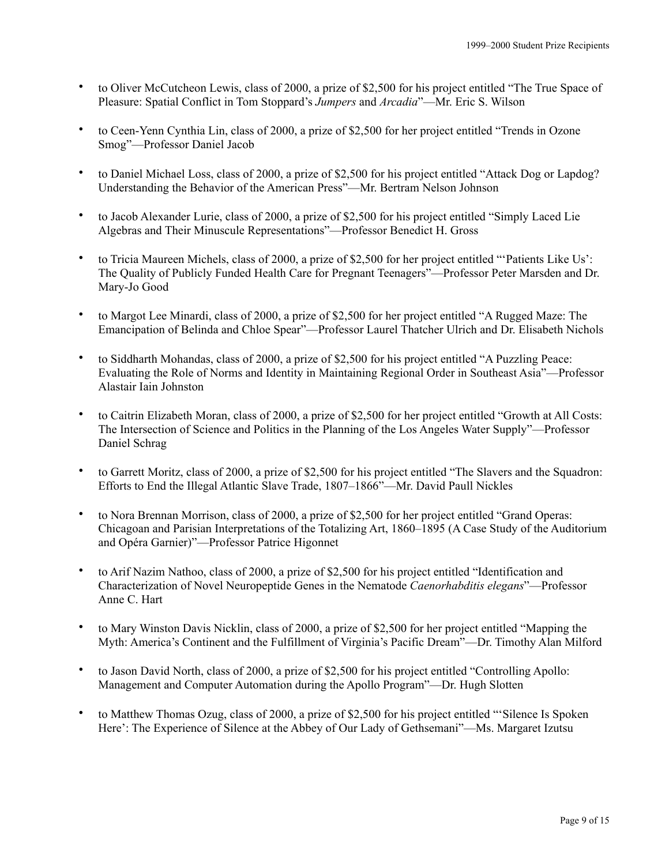- to Oliver McCutcheon Lewis, class of 2000, a prize of \$2,500 for his project entitled "The True Space of Pleasure: Spatial Conflict in Tom Stoppard's *Jumpers* and *Arcadia*"—Mr. Eric S. Wilson
- to Ceen-Yenn Cynthia Lin, class of 2000, a prize of \$2,500 for her project entitled "Trends in Ozone Smog"—Professor Daniel Jacob
- to Daniel Michael Loss, class of 2000, a prize of \$2,500 for his project entitled "Attack Dog or Lapdog? Understanding the Behavior of the American Press"—Mr. Bertram Nelson Johnson
- to Jacob Alexander Lurie, class of 2000, a prize of \$2,500 for his project entitled "Simply Laced Lie Algebras and Their Minuscule Representations"—Professor Benedict H. Gross
- to Tricia Maureen Michels, class of 2000, a prize of \$2,500 for her project entitled "'Patients Like Us': The Quality of Publicly Funded Health Care for Pregnant Teenagers"—Professor Peter Marsden and Dr. Mary-Jo Good
- to Margot Lee Minardi, class of 2000, a prize of \$2,500 for her project entitled "A Rugged Maze: The Emancipation of Belinda and Chloe Spear"—Professor Laurel Thatcher Ulrich and Dr. Elisabeth Nichols
- to Siddharth Mohandas, class of 2000, a prize of \$2,500 for his project entitled "A Puzzling Peace: Evaluating the Role of Norms and Identity in Maintaining Regional Order in Southeast Asia"—Professor Alastair Iain Johnston
- to Caitrin Elizabeth Moran, class of 2000, a prize of \$2,500 for her project entitled "Growth at All Costs: The Intersection of Science and Politics in the Planning of the Los Angeles Water Supply"—Professor Daniel Schrag
- to Garrett Moritz, class of 2000, a prize of \$2,500 for his project entitled "The Slavers and the Squadron: Efforts to End the Illegal Atlantic Slave Trade, 1807–1866"—Mr. David Paull Nickles
- to Nora Brennan Morrison, class of 2000, a prize of \$2,500 for her project entitled "Grand Operas: Chicagoan and Parisian Interpretations of the Totalizing Art, 1860–1895 (A Case Study of the Auditorium and Opéra Garnier)"—Professor Patrice Higonnet
- to Arif Nazim Nathoo, class of 2000, a prize of \$2,500 for his project entitled "Identification and Characterization of Novel Neuropeptide Genes in the Nematode *Caenorhabditis elegans*"—Professor Anne C. Hart
- to Mary Winston Davis Nicklin, class of 2000, a prize of \$2,500 for her project entitled "Mapping the Myth: America's Continent and the Fulfillment of Virginia's Pacific Dream"—Dr. Timothy Alan Milford
- to Jason David North, class of 2000, a prize of \$2,500 for his project entitled "Controlling Apollo: Management and Computer Automation during the Apollo Program"—Dr. Hugh Slotten
- to Matthew Thomas Ozug, class of 2000, a prize of \$2,500 for his project entitled "'Silence Is Spoken Here': The Experience of Silence at the Abbey of Our Lady of Gethsemani"—Ms. Margaret Izutsu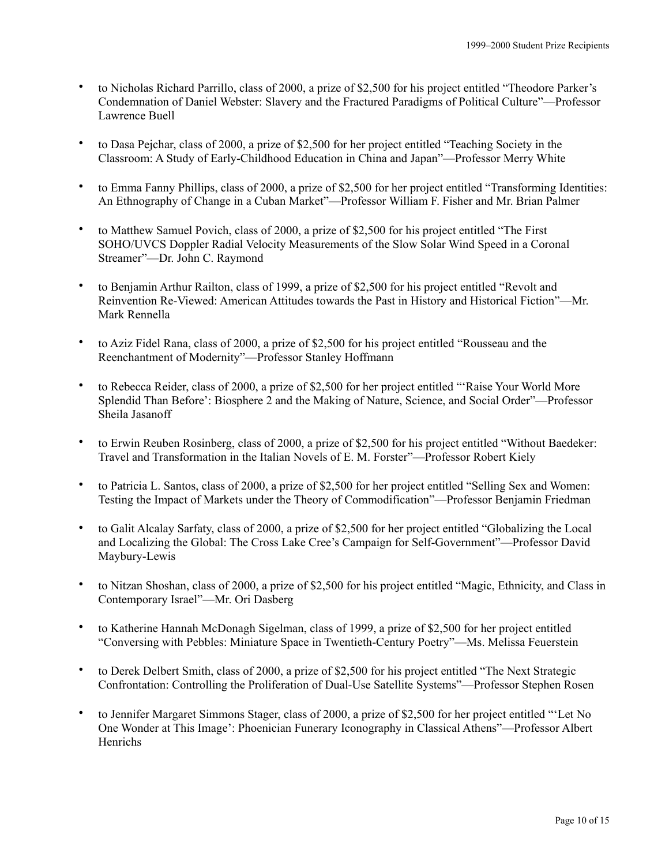- to Nicholas Richard Parrillo, class of 2000, a prize of \$2,500 for his project entitled "Theodore Parker's Condemnation of Daniel Webster: Slavery and the Fractured Paradigms of Political Culture"—Professor Lawrence Buell
- to Dasa Pejchar, class of 2000, a prize of \$2,500 for her project entitled "Teaching Society in the Classroom: A Study of Early-Childhood Education in China and Japan"—Professor Merry White
- to Emma Fanny Phillips, class of 2000, a prize of \$2,500 for her project entitled "Transforming Identities: An Ethnography of Change in a Cuban Market"—Professor William F. Fisher and Mr. Brian Palmer
- to Matthew Samuel Povich, class of 2000, a prize of \$2,500 for his project entitled "The First SOHO/UVCS Doppler Radial Velocity Measurements of the Slow Solar Wind Speed in a Coronal Streamer"—Dr. John C. Raymond
- to Benjamin Arthur Railton, class of 1999, a prize of \$2,500 for his project entitled "Revolt and Reinvention Re-Viewed: American Attitudes towards the Past in History and Historical Fiction"—Mr. Mark Rennella
- to Aziz Fidel Rana, class of 2000, a prize of \$2,500 for his project entitled "Rousseau and the Reenchantment of Modernity"—Professor Stanley Hoffmann
- to Rebecca Reider, class of 2000, a prize of \$2,500 for her project entitled "'Raise Your World More Splendid Than Before': Biosphere 2 and the Making of Nature, Science, and Social Order"—Professor Sheila Jasanoff
- to Erwin Reuben Rosinberg, class of 2000, a prize of \$2,500 for his project entitled "Without Baedeker: Travel and Transformation in the Italian Novels of E. M. Forster"—Professor Robert Kiely
- to Patricia L. Santos, class of 2000, a prize of \$2,500 for her project entitled "Selling Sex and Women: Testing the Impact of Markets under the Theory of Commodification"—Professor Benjamin Friedman
- to Galit Alcalay Sarfaty, class of 2000, a prize of \$2,500 for her project entitled "Globalizing the Local and Localizing the Global: The Cross Lake Cree's Campaign for Self-Government"—Professor David Maybury-Lewis
- to Nitzan Shoshan, class of 2000, a prize of \$2,500 for his project entitled "Magic, Ethnicity, and Class in Contemporary Israel"—Mr. Ori Dasberg
- to Katherine Hannah McDonagh Sigelman, class of 1999, a prize of \$2,500 for her project entitled "Conversing with Pebbles: Miniature Space in Twentieth-Century Poetry"—Ms. Melissa Feuerstein
- to Derek Delbert Smith, class of 2000, a prize of \$2,500 for his project entitled "The Next Strategic Confrontation: Controlling the Proliferation of Dual-Use Satellite Systems"—Professor Stephen Rosen
- to Jennifer Margaret Simmons Stager, class of 2000, a prize of \$2,500 for her project entitled "'Let No One Wonder at This Image': Phoenician Funerary Iconography in Classical Athens"—Professor Albert Henrichs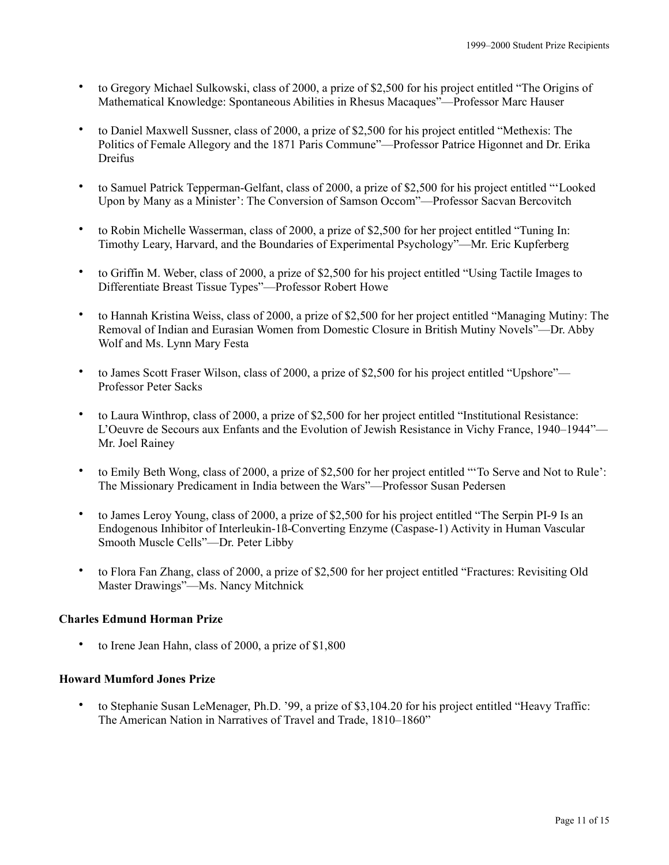- to Gregory Michael Sulkowski, class of 2000, a prize of \$2,500 for his project entitled "The Origins of Mathematical Knowledge: Spontaneous Abilities in Rhesus Macaques"—Professor Marc Hauser
- to Daniel Maxwell Sussner, class of 2000, a prize of \$2,500 for his project entitled "Methexis: The Politics of Female Allegory and the 1871 Paris Commune"—Professor Patrice Higonnet and Dr. Erika Dreifus
- to Samuel Patrick Tepperman-Gelfant, class of 2000, a prize of \$2,500 for his project entitled "'Looked Upon by Many as a Minister': The Conversion of Samson Occom"—Professor Sacvan Bercovitch
- to Robin Michelle Wasserman, class of 2000, a prize of \$2,500 for her project entitled "Tuning In: Timothy Leary, Harvard, and the Boundaries of Experimental Psychology"—Mr. Eric Kupferberg
- to Griffin M. Weber, class of 2000, a prize of \$2,500 for his project entitled "Using Tactile Images to Differentiate Breast Tissue Types"—Professor Robert Howe
- to Hannah Kristina Weiss, class of 2000, a prize of \$2,500 for her project entitled "Managing Mutiny: The Removal of Indian and Eurasian Women from Domestic Closure in British Mutiny Novels"—Dr. Abby Wolf and Ms. Lynn Mary Festa
- to James Scott Fraser Wilson, class of 2000, a prize of \$2,500 for his project entitled "Upshore"— Professor Peter Sacks
- to Laura Winthrop, class of 2000, a prize of \$2,500 for her project entitled "Institutional Resistance: L'Oeuvre de Secours aux Enfants and the Evolution of Jewish Resistance in Vichy France, 1940–1944"— Mr. Joel Rainey
- to Emily Beth Wong, class of 2000, a prize of \$2,500 for her project entitled "'To Serve and Not to Rule': The Missionary Predicament in India between the Wars"—Professor Susan Pedersen
- to James Leroy Young, class of 2000, a prize of \$2,500 for his project entitled "The Serpin PI-9 Is an Endogenous Inhibitor of Interleukin-1ß-Converting Enzyme (Caspase-1) Activity in Human Vascular Smooth Muscle Cells"—Dr. Peter Libby
- to Flora Fan Zhang, class of 2000, a prize of \$2,500 for her project entitled "Fractures: Revisiting Old Master Drawings"—Ms. Nancy Mitchnick

# **Charles Edmund Horman Prize**

to Irene Jean Hahn, class of 2000, a prize of \$1,800

# **Howard Mumford Jones Prize**

• to Stephanie Susan LeMenager, Ph.D. '99, a prize of \$3,104.20 for his project entitled "Heavy Traffic: The American Nation in Narratives of Travel and Trade, 1810–1860"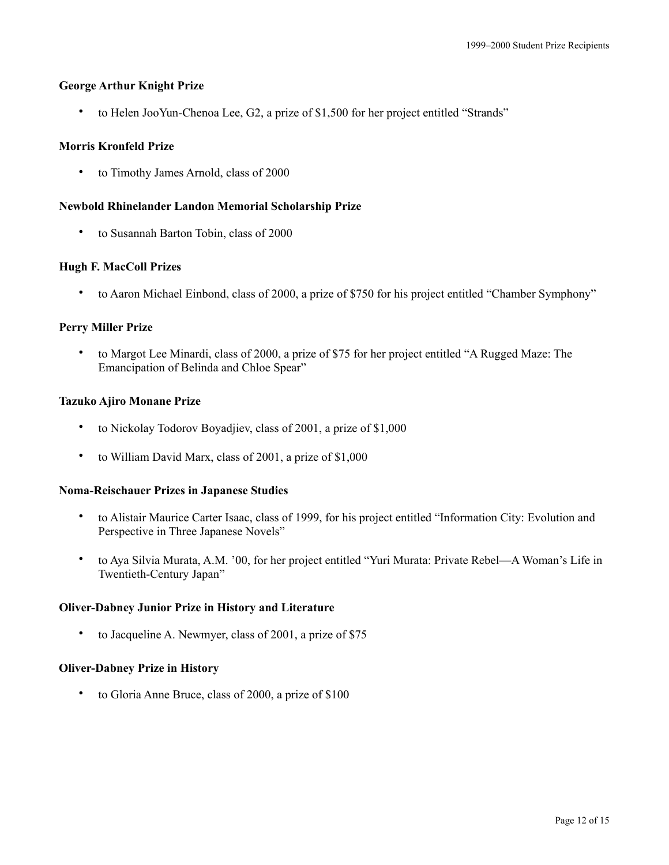## **George Arthur Knight Prize**

• to Helen JooYun-Chenoa Lee, G2, a prize of \$1,500 for her project entitled "Strands"

## **Morris Kronfeld Prize**

• to Timothy James Arnold, class of 2000

## **Newbold Rhinelander Landon Memorial Scholarship Prize**

• to Susannah Barton Tobin, class of 2000

## **Hugh F. MacColl Prizes**

• to Aaron Michael Einbond, class of 2000, a prize of \$750 for his project entitled "Chamber Symphony"

## **Perry Miller Prize**

• to Margot Lee Minardi, class of 2000, a prize of \$75 for her project entitled "A Rugged Maze: The Emancipation of Belinda and Chloe Spear"

#### **Tazuko Ajiro Monane Prize**

- to Nickolay Todorov Boyadjiev, class of 2001, a prize of \$1,000
- to William David Marx, class of 2001, a prize of \$1,000

#### **Noma-Reischauer Prizes in Japanese Studies**

- to Alistair Maurice Carter Isaac, class of 1999, for his project entitled "Information City: Evolution and Perspective in Three Japanese Novels"
- to Aya Silvia Murata, A.M. '00, for her project entitled "Yuri Murata: Private Rebel—A Woman's Life in Twentieth-Century Japan"

#### **Oliver-Dabney Junior Prize in History and Literature**

• to Jacqueline A. Newmyer, class of 2001, a prize of \$75

#### **Oliver-Dabney Prize in History**

• to Gloria Anne Bruce, class of 2000, a prize of \$100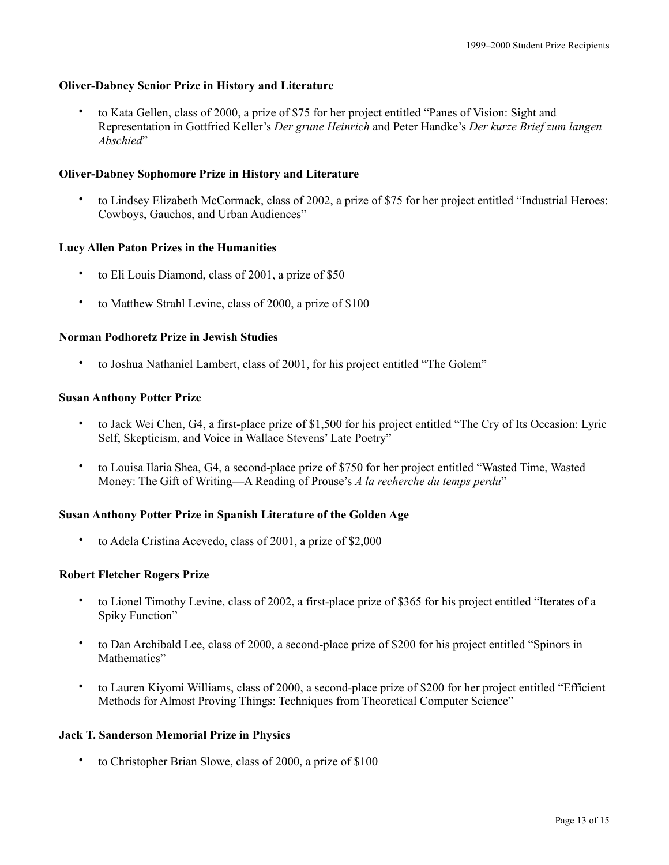# **Oliver-Dabney Senior Prize in History and Literature**

• to Kata Gellen, class of 2000, a prize of \$75 for her project entitled "Panes of Vision: Sight and Representation in Gottfried Keller's *Der grune Heinrich* and Peter Handke's *Der kurze Brief zum langen Abschied*"

# **Oliver-Dabney Sophomore Prize in History and Literature**

• to Lindsey Elizabeth McCormack, class of 2002, a prize of \$75 for her project entitled "Industrial Heroes: Cowboys, Gauchos, and Urban Audiences"

# **Lucy Allen Paton Prizes in the Humanities**

- to Eli Louis Diamond, class of 2001, a prize of \$50
- to Matthew Strahl Levine, class of 2000, a prize of \$100

# **Norman Podhoretz Prize in Jewish Studies**

• to Joshua Nathaniel Lambert, class of 2001, for his project entitled "The Golem"

# **Susan Anthony Potter Prize**

- to Jack Wei Chen, G4, a first-place prize of \$1,500 for his project entitled "The Cry of Its Occasion: Lyric Self, Skepticism, and Voice in Wallace Stevens' Late Poetry"
- to Louisa Ilaria Shea, G4, a second-place prize of \$750 for her project entitled "Wasted Time, Wasted Money: The Gift of Writing—A Reading of Prouse's *A la recherche du temps perdu*"

# **Susan Anthony Potter Prize in Spanish Literature of the Golden Age**

• to Adela Cristina Acevedo, class of 2001, a prize of \$2,000

# **Robert Fletcher Rogers Prize**

- to Lionel Timothy Levine, class of 2002, a first-place prize of \$365 for his project entitled "Iterates of a Spiky Function"
- to Dan Archibald Lee, class of 2000, a second-place prize of \$200 for his project entitled "Spinors in Mathematics"
- to Lauren Kiyomi Williams, class of 2000, a second-place prize of \$200 for her project entitled "Efficient Methods for Almost Proving Things: Techniques from Theoretical Computer Science"

# **Jack T. Sanderson Memorial Prize in Physics**

• to Christopher Brian Slowe, class of 2000, a prize of \$100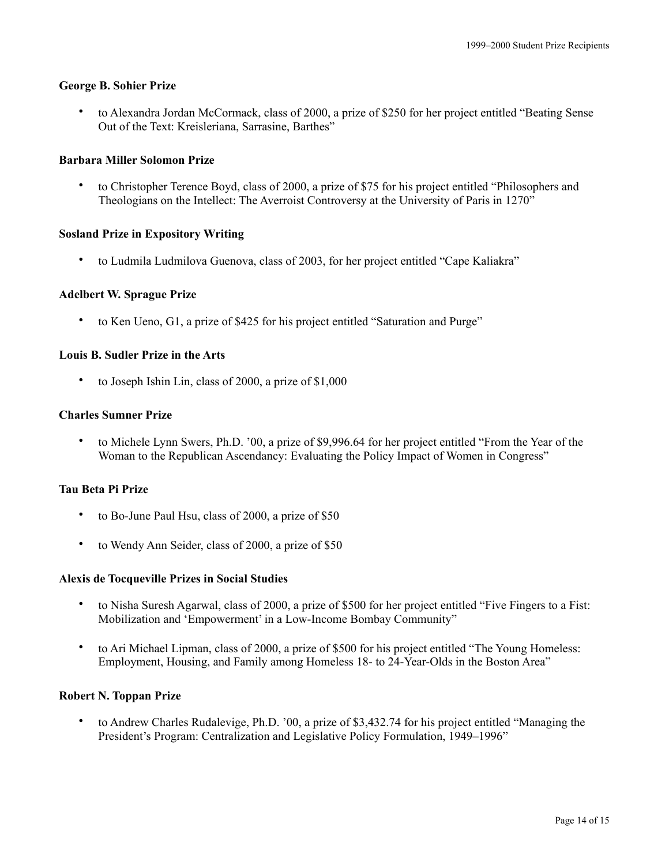## **George B. Sohier Prize**

• to Alexandra Jordan McCormack, class of 2000, a prize of \$250 for her project entitled "Beating Sense Out of the Text: Kreisleriana, Sarrasine, Barthes"

## **Barbara Miller Solomon Prize**

• to Christopher Terence Boyd, class of 2000, a prize of \$75 for his project entitled "Philosophers and Theologians on the Intellect: The Averroist Controversy at the University of Paris in 1270"

## **Sosland Prize in Expository Writing**

• to Ludmila Ludmilova Guenova, class of 2003, for her project entitled "Cape Kaliakra"

## **Adelbert W. Sprague Prize**

• to Ken Ueno, G1, a prize of \$425 for his project entitled "Saturation and Purge"

# **Louis B. Sudler Prize in the Arts**

to Joseph Ishin Lin, class of 2000, a prize of \$1,000

#### **Charles Sumner Prize**

• to Michele Lynn Swers, Ph.D. '00, a prize of \$9,996.64 for her project entitled "From the Year of the Woman to the Republican Ascendancy: Evaluating the Policy Impact of Women in Congress"

## **Tau Beta Pi Prize**

- to Bo-June Paul Hsu, class of 2000, a prize of \$50
- to Wendy Ann Seider, class of 2000, a prize of \$50

#### **Alexis de Tocqueville Prizes in Social Studies**

- to Nisha Suresh Agarwal, class of 2000, a prize of \$500 for her project entitled "Five Fingers to a Fist: Mobilization and 'Empowerment' in a Low-Income Bombay Community"
- to Ari Michael Lipman, class of 2000, a prize of \$500 for his project entitled "The Young Homeless: Employment, Housing, and Family among Homeless 18- to 24-Year-Olds in the Boston Area"

#### **Robert N. Toppan Prize**

• to Andrew Charles Rudalevige, Ph.D. '00, a prize of \$3,432.74 for his project entitled "Managing the President's Program: Centralization and Legislative Policy Formulation, 1949–1996"